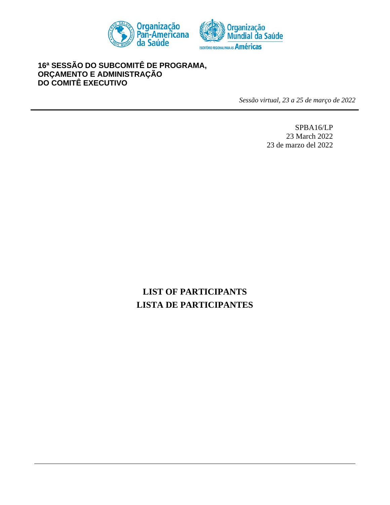



# **16 <sup>a</sup> SESSÃO DO SUBCOMITÊ DE PROGRAMA, ORÇAMENTO E ADMINISTRAÇÃO DO COMITÊ EXECUTIVO**

*Sessão virtual, 23 a 25 de março de 2022*

SPBA16/LP 23 March 2022 23 de marzo del 2022

# **LIST OF PARTICIPANTS LISTA DE PARTICIPANTES**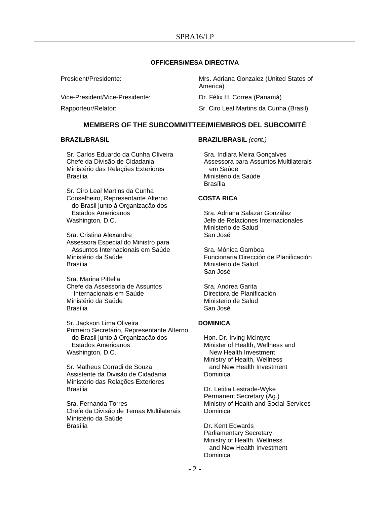## **OFFICERS/MESA DIRECTIVA**

Vice-President/Vice-Presidente: Dr. Félix H. Correa (Panamá)

President/Presidente: Mrs. Adriana Gonzalez (United States of America)

Rapporteur/Relator: Sr. Ciro Leal Martins da Cunha (Brasil)

# **MEMBERS OF THE SUBCOMMITTEE/MIEMBROS DEL SUBCOMITÉ**

## **BRAZIL/BRASIL**

Sr. Carlos Eduardo da Cunha Oliveira Chefe da Divisão de Cidadania Ministério das Relações Exteriores Brasília

Sr. Ciro Leal Martins da Cunha Conselheiro, Representante Alterno do Brasil junto à Organização dos Estados Americanos Washington, D.C.

Sra. Cristina Alexandre Assessora Especial do Ministro para Assuntos Internacionais em Saúde Ministério da Saúde Brasília

Sra. Marina Pittella Chefe da Assessoria de Assuntos Internacionais em Saúde Ministério da Saúde Brasília

Sr. Jackson Lima Oliveira Primeiro Secretário, Representante Alterno do Brasil junto à Organização dos Estados Americanos Washington, D.C.

Sr. Matheus Corradi de Souza Assistente da Divisão de Cidadania Ministério das Relações Exteriores Brasília

Sra. Fernanda Torres Chefe da Divisão de Temas Multilaterais Ministério da Saúde Brasília

## **BRAZIL/BRASIL** *(cont.)*

Sra. Indiara Meira Gonçalves Assessora para Assuntos Multilaterais em Saúde Ministério da Saúde Brasília

# **COSTA RICA**

Sra. Adriana Salazar González Jefe de Relaciones Internacionales Ministerio de Salud San José

Sra. Mónica Gamboa Funcionaria Dirección de Planificación Ministerio de Salud San José

Sra. Andrea Garita Directora de Planificación Ministerio de Salud San José

## **DOMINICA**

Hon. Dr. Irving Mclntyre Minister of Health, Wellness and New Health Investment Ministry of Health, Wellness and New Health Investment Dominica

Dr. Letitia Lestrade-Wyke Permanent Secretary (Ag.) Ministry of Health and Social Services **Dominica** 

Dr. Kent Edwards Parliamentary Secretary Ministry of Health, Wellness and New Health Investment Dominica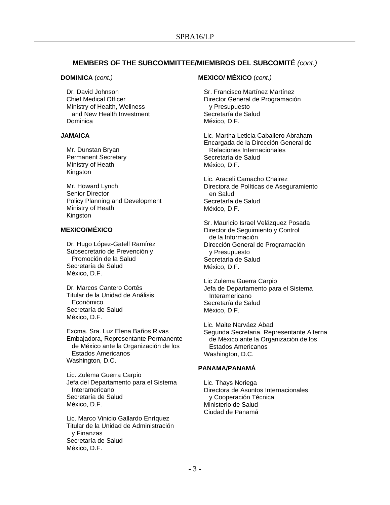# **MEMBERS OF THE SUBCOMMITTEE/MIEMBROS DEL SUBCOMITÉ** *(cont.)*

#### **DOMINICA** (*cont.)*

Dr. David Johnson Chief Medical Officer Ministry of Health, Wellness and New Health Investment Dominica

#### **JAMAICA**

Mr. Dunstan Bryan Permanent Secretary Ministry of Heath Kingston

Mr. Howard Lynch Senior Director Policy Planning and Development Ministry of Heath Kingston

## **MEXICO/MÉXICO**

Dr. Hugo López-Gatell Ramírez Subsecretario de Prevención y Promoción de la Salud Secretaría de Salud México, D.F.

Dr. Marcos Cantero Cortés Titular de la Unidad de Análisis Económico Secretaría de Salud México, D.F.

Excma. Sra. Luz Elena Baños Rivas Embajadora, Representante Permanente de México ante la Organización de los Estados Americanos Washington, D.C.

Lic. Zulema Guerra Carpio Jefa del Departamento para el Sistema Interamericano Secretaría de Salud México, D.F.

Lic. Marco Vinicio Gallardo Enríquez Titular de la Unidad de Administración y Finanzas Secretaría de Salud México, D.F.

# **MEXICO/ MÉXICO** (*cont.)*

Sr. Francisco Martínez Martínez Director General de Programación y Presupuesto Secretaría de Salud México, D.F.

Lic. Martha Leticia Caballero Abraham Encargada de la Dirección General de Relaciones Internacionales Secretaría de Salud México, D.F.

Lic. Araceli Camacho Chairez Directora de Políticas de Aseguramiento en Salud Secretaría de Salud México, D.F.

Sr. Mauricio Israel Velázquez Posada Director de Seguimiento y Control de la Información Dirección General de Programación y Presupuesto Secretaría de Salud México, D.F.

Lic Zulema Guerra Carpio Jefa de Departamento para el Sistema Interamericano Secretaría de Salud México, D.F.

Lic. Maite Narváez Abad Segunda Secretaria, Representante Alterna de México ante la Organización de los Estados Americanos Washington, D.C.

# **PANAMA/PANAMÁ**

Lic. Thays Noriega Directora de Asuntos Internacionales y Cooperación Técnica Ministerio de Salud Ciudad de Panamá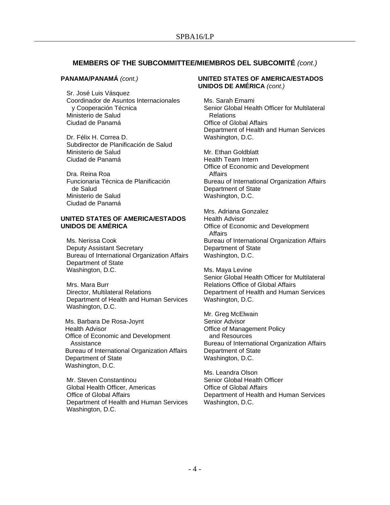# **MEMBERS OF THE SUBCOMMITTEE/MIEMBROS DEL SUBCOMITÉ** *(cont.)*

## **PANAMA/PANAMÁ** *(cont.)*

Sr. José Luis Vásquez Coordinador de Asuntos Internacionales y Cooperación Técnica Ministerio de Salud Ciudad de Panamá

Dr. Félix H. Correa D. Subdirector de Planificación de Salud Ministerio de Salud Ciudad de Panamá

Dra. Reina Roa Funcionaria Técnica de Planificación de Salud Ministerio de Salud Ciudad de Panamá

# **UNITED STATES OF AMERICA/ESTADOS UNIDOS DE AMÉRICA**

Ms. Nerissa Cook Deputy Assistant Secretary Bureau of International Organization Affairs Department of State Washington, D.C.

Mrs. Mara Burr Director, Multilateral Relations Department of Health and Human Services Washington, D.C.

Ms. Barbara De Rosa-Joynt Health Advisor Office of Economic and Development Assistance Bureau of International Organization Affairs Department of State Washington, D.C.

Mr. Steven Constantinou Global Health Officer, Americas Office of Global Affairs Department of Health and Human Services Washington, D.C.

## **UNITED STATES OF AMERICA/ESTADOS UNIDOS DE AMÉRICA** *(cont.)*

Ms. Sarah Emami Senior Global Health Officer for Multilateral Relations Office of Global Affairs Department of Health and Human Services Washington, D.C.

Mr. Ethan Goldblatt Health Team Intern Office of Economic and Development Affairs Bureau of International Organization Affairs Department of State Washington, D.C.

Mrs. Adriana Gonzalez Health Advisor Office of Economic and Development Affairs Bureau of International Organization Affairs Department of State Washington, D.C.

Ms. Maya Levine Senior Global Health Officer for Multilateral Relations Office of Global Affairs Department of Health and Human Services Washington, D.C.

Mr. Greg McElwain Senior Advisor Office of Management Policy and Resources Bureau of International Organization Affairs Department of State Washington, D.C.

Ms. Leandra Olson Senior Global Health Officer Office of Global Affairs Department of Health and Human Services Washington, D.C.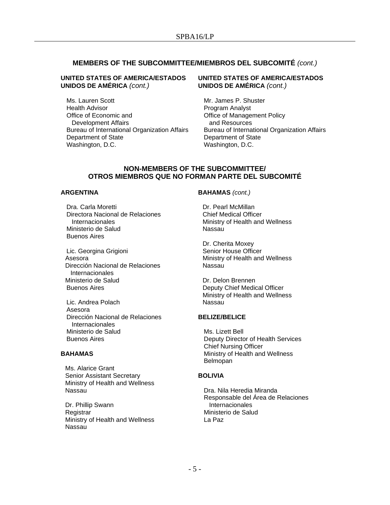# **MEMBERS OF THE SUBCOMMITTEE/MIEMBROS DEL SUBCOMITÉ** *(cont.)*

## **UNITED STATES OF AMERICA/ESTADOS UNIDOS DE AMÉRICA** *(cont.)*

Ms. Lauren Scott Health Advisor Office of Economic and Development Affairs Bureau of International Organization Affairs Department of State Washington, D.C.

## **UNITED STATES OF AMERICA/ESTADOS UNIDOS DE AMÉRICA** *(cont.)*

Mr. James P. Shuster Program Analyst Office of Management Policy and Resources Bureau of International Organization Affairs Department of State Washington, D.C.

## **NON-MEMBERS OF THE SUBCOMMITTEE/ OTROS MIEMBROS QUE NO FORMAN PARTE DEL SUBCOMITÉ**

#### **ARGENTINA**

Dra. Carla Moretti Directora Nacional de Relaciones Internacionales Ministerio de Salud Buenos Aires

Lic. Georgina Grigioni Asesora Dirección Nacional de Relaciones Internacionales Ministerio de Salud Buenos Aires

Lic. Andrea Polach Asesora Dirección Nacional de Relaciones **Internacionales** Ministerio de Salud Buenos Aires

#### **BAHAMAS**

Ms. Alarice Grant Senior Assistant Secretary Ministry of Health and Wellness Nassau

Dr. Phillip Swann **Registrar** Ministry of Health and Wellness Nassau

#### **BAHAMAS** *(cont.)*

Dr. Pearl McMillan Chief Medical Officer Ministry of Health and Wellness Nassau

Dr. Cherita Moxey Senior House Officer Ministry of Health and Wellness Nassau

Dr. Delon Brennen Deputy Chief Medical Officer Ministry of Health and Wellness Nassau

#### **BELIZE/BELICE**

Ms. Lizett Bell Deputy Director of Health Services Chief Nursing Officer Ministry of Health and Wellness Belmopan

## **BOLIVIA**

Dra. Nila Heredia Miranda Responsable del Área de Relaciones **Internacionales** Ministerio de Salud La Paz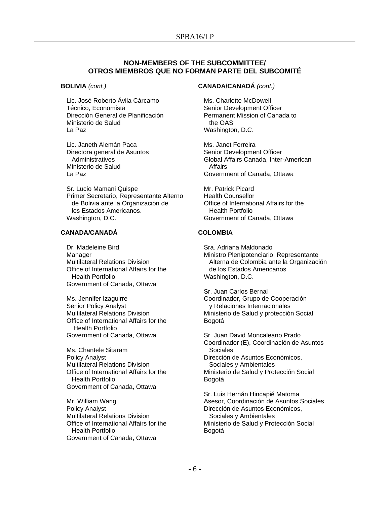# **NON-MEMBERS OF THE SUBCOMMITTEE/ OTROS MIEMBROS QUE NO FORMAN PARTE DEL SUBCOMITÉ**

#### **BOLIVIA** *(cont.)*

Lic. José Roberto Ávila Cárcamo Técnico, Economista Dirección General de Planificación Ministerio de Salud La Paz

Lic. Janeth Alemán Paca Directora general de Asuntos Administrativos Ministerio de Salud La Paz

Sr. Lucio Mamani Quispe Primer Secretario, Representante Alterno de Bolivia ante la Organización de los Estados Americanos. Washington, D.C.

## **CANADA/CANADÁ**

Dr. Madeleine Bird Manager Multilateral Relations Division Office of International Affairs for the Health Portfolio Government of Canada, Ottawa

Ms. Jennifer Izaguirre Senior Policy Analyst Multilateral Relations Division Office of International Affairs for the Health Portfolio Government of Canada, Ottawa

Ms. Chantele Sitaram Policy Analyst Multilateral Relations Division Office of International Affairs for the Health Portfolio Government of Canada, Ottawa

Mr. William Wang Policy Analyst Multilateral Relations Division Office of International Affairs for the Health Portfolio Government of Canada, Ottawa

#### **CANADA/CANADÁ** *(cont.)*

Ms. Charlotte McDowell Senior Development Officer Permanent Mission of Canada to the OAS Washington, D.C.

Ms. Janet Ferreira Senior Development Officer Global Affairs Canada, Inter-American Affairs Government of Canada, Ottawa

Mr. Patrick Picard Health Counsellor Office of International Affairs for the Health Portfolio Government of Canada, Ottawa

#### **COLOMBIA**

Sra. Adriana Maldonado Ministro Plenipotenciario, Representante Alterna de Colombia ante la Organización de los Estados Americanos Washington, D.C.

Sr. Juan Carlos Bernal Coordinador, Grupo de Cooperación y Relaciones Internacionales Ministerio de Salud y protección Social Bogotá

Sr. Juan David Moncaleano Prado Coordinador (E), Coordinación de Asuntos Sociales Dirección de Asuntos Económicos, Sociales y Ambientales Ministerio de Salud y Protección Social Bogotá

Sr. Luis Hernán Hincapié Matoma Asesor, Coordinación de Asuntos Sociales Dirección de Asuntos Económicos, Sociales y Ambientales Ministerio de Salud y Protección Social Bogotá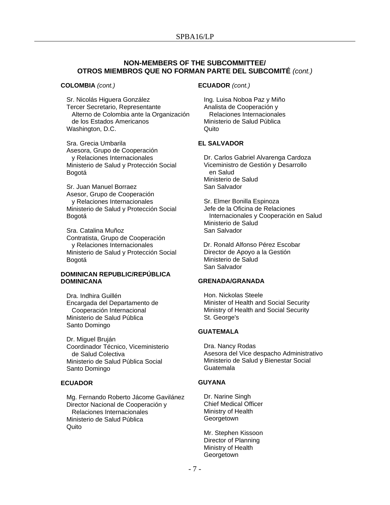# **NON-MEMBERS OF THE SUBCOMMITTEE/ OTROS MIEMBROS QUE NO FORMAN PARTE DEL SUBCOMITÉ** *(cont.)*

#### **COLOMBIA** *(cont.)*

Sr. Nicolás Higuera González Tercer Secretario, Representante Alterno de Colombia ante la Organización de los Estados Americanos Washington, D.C.

Sra. Grecia Umbarila Asesora, Grupo de Cooperación y Relaciones Internacionales Ministerio de Salud y Protección Social Bogotá

Sr. Juan Manuel Borraez Asesor, Grupo de Cooperación y Relaciones Internacionales Ministerio de Salud y Protección Social Bogotá

Sra. Catalina Muñoz Contratista, Grupo de Cooperación y Relaciones Internacionales Ministerio de Salud y Protección Social Bogotá

## **DOMINICAN REPUBLIC/REPÚBLICA DOMINICANA**

Dra. Indhira Guillén Encargada del Departamento de Cooperación Internacional Ministerio de Salud Pública Santo Domingo

Dr. Miguel Bruján Coordinador Técnico, Viceministerio de Salud Colectiva Ministerio de Salud Pública Social Santo Domingo

#### **ECUADOR**

Mg. Fernando Roberto Jácome Gavilánez Director Nacional de Cooperación y Relaciones Internacionales Ministerio de Salud Pública Quito

#### **ECUADOR** *(cont.)*

Ing. Luisa Noboa Paz y Miño Analista de Cooperación y Relaciones Internacionales Ministerio de Salud Pública Quito

#### **EL SALVADOR**

Dr. Carlos Gabriel Alvarenga Cardoza Viceministro de Gestión y Desarrollo en Salud Ministerio de Salud San Salvador

Sr. Elmer Bonilla Espinoza Jefe de la Oficina de Relaciones Internacionales y Cooperación en Salud Ministerio de Salud San Salvador

 Dr. Ronald Alfonso Pérez Escobar Director de Apoyo a la Gestión Ministerio de Salud San Salvador

# **GRENADA/GRANADA**

Hon. Nickolas Steele Minister of Health and Social Security Ministry of Health and Social Security St. George's

#### **GUATEMALA**

Dra. Nancy Rodas Asesora del Vice despacho Administrativo Ministerio de Salud y Bienestar Social Guatemala

## **GUYANA**

Dr. Narine Singh Chief Medical Officer Ministry of Health **Georgetown** 

Mr. Stephen Kissoon Director of Planning Ministry of Health Georgetown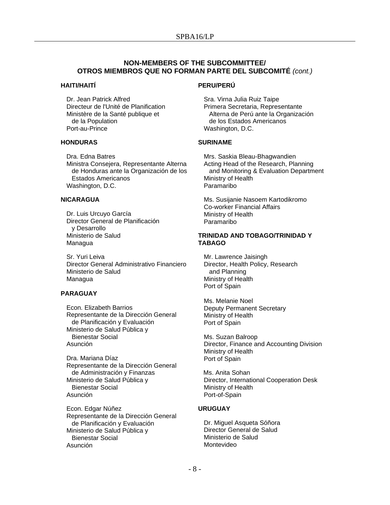# **NON-MEMBERS OF THE SUBCOMMITTEE/ OTROS MIEMBROS QUE NO FORMAN PARTE DEL SUBCOMITÉ** *(cont.)*

## **HAITI/HAITÍ**

Dr. Jean Patrick Alfred Directeur de l'Unité de Planification Ministère de la Santé publique et de la Population Port-au-Prince

## **HONDURAS**

Dra. Edna Batres Ministra Consejera, Representante Alterna de Honduras ante la Organización de los Estados Americanos Washington, D.C.

## **NICARAGUA**

Dr. Luis Urcuyo García Director General de Planificación y Desarrollo Ministerio de Salud Managua

Sr. Yuri Leiva Director General Administrativo Financiero Ministerio de Salud Managua

#### **PARAGUAY**

Econ. Elizabeth Barrios Representante de la Dirección General de Planificación y Evaluación Ministerio de Salud Pública y Bienestar Social Asunción

Dra. Mariana Díaz Representante de la Dirección General de Administración y Finanzas Ministerio de Salud Pública y Bienestar Social Asunción

Econ. Edgar Núñez Representante de la Dirección General de Planificación y Evaluación Ministerio de Salud Pública y Bienestar Social Asunción

#### **PERU/PERÚ**

Sra. Virna Julia Ruiz Taipe Primera Secretaria, Representante Alterna de Perú ante la Organización de los Estados Americanos Washington, D.C.

#### **SURINAME**

Mrs. Saskia Bleau-Bhagwandien Acting Head of the Research, Planning and Monitoring & Evaluation Department Ministry of Health Paramaribo

Ms. Susijanie Nasoem Kartodikromo Co-worker Financial Affairs Ministry of Health Paramaribo

## **TRINIDAD AND TOBAGO/TRINIDAD Y TABAGO**

Mr. Lawrence Jaisingh Director, Health Policy, Research and Planning Ministry of Health Port of Spain

Ms. Melanie Noel Deputy Permanent Secretary Ministry of Health Port of Spain

Ms. Suzan Balroop Director, Finance and Accounting Division Ministry of Health Port of Spain

 Ms. Anita Sohan Director, International Cooperation Desk Ministry of Health Port-of-Spain

## **URUGUAY**

Dr. Miguel Asqueta Sóñora Director General de Salud Ministerio de Salud Montevideo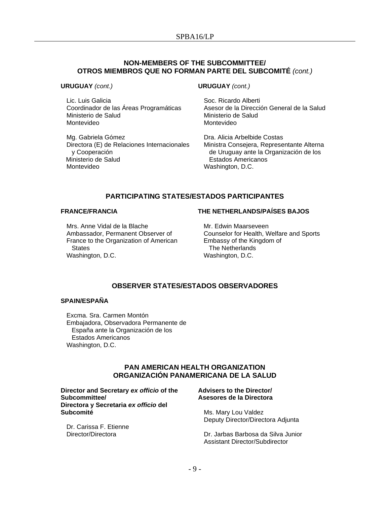# **NON-MEMBERS OF THE SUBCOMMITTEE/ OTROS MIEMBROS QUE NO FORMAN PARTE DEL SUBCOMITÉ** *(cont.)*

**URUGUAY** *(cont.)*

Lic. Luis Galicia Coordinador de las Áreas Programáticas Ministerio de Salud Montevideo

Mg. Gabriela Gómez Directora (E) de Relaciones Internacionales y Cooperación Ministerio de Salud Montevideo

**URUGUAY** *(cont.)*

Soc. Ricardo Alberti Asesor de la Dirección General de la Salud Ministerio de Salud Montevideo

Dra. Alicia Arbelbide Costas Ministra Consejera, Representante Alterna de Uruguay ante la Organización de los Estados Americanos Washington, D.C.

# **PARTICIPATING STATES/ESTADOS PARTICIPANTES**

#### **FRANCE/FRANCIA**

# **THE NETHERLANDS/PAÍSES BAJOS**

Mrs. Anne Vidal de la Blache Ambassador, Permanent Observer of France to the Organization of American **States** Washington, D.C.

Mr. Edwin Maarseveen Counselor for Health, Welfare and Sports Embassy of the Kingdom of The Netherlands Washington, D.C.

# **OBSERVER STATES/ESTADOS OBSERVADORES**

## **SPAIN/ESPAÑA**

Excma. Sra. Carmen Montón Embajadora, Observadora Permanente de España ante la Organización de los Estados Americanos Washington, D.C.

# **PAN AMERICAN HEALTH ORGANIZATION ORGANIZACIÓN PANAMERICANA DE LA SALUD**

#### **Director and Secretary** *ex officio* **of the Subcommittee/ Directora y Secretaria** *ex officio* **del Subcomité**

Dr. Carissa F. Etienne Director/Directora

#### **Advisers to the Director/ Asesores de la Directora**

Ms. Mary Lou Valdez Deputy Director/Directora Adjunta

Dr. Jarbas Barbosa da Silva Junior Assistant Director/Subdirector